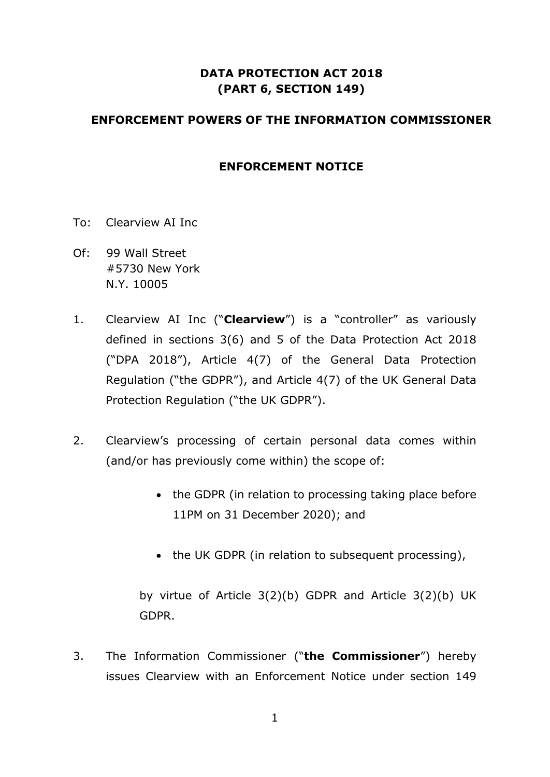## **DATA PROTECTION ACT 2018 (PART 6, SECTION 149)**

### **ENFORCEMENT POWERS OF THE INFORMATION COMMISSIONER**

### **ENFORCEMENT NOTICE**

- To: Clearview AI Inc
- Of: 99 Wall Street #5730 New York N.Y. 10005
- 1. Clearview AI Inc ("**Clearview**") is a "controller" as variously defined in sections 3(6) and 5 of the Data Protection Act 2018 ("DPA 2018"), Article 4(7) of the General Data Protection Regulation ("the GDPR"), and Article 4(7) of the UK General Data Protection Regulation ("the UK GDPR").
- 2. Clearview's processing of certain personal data comes within (and/or has previously come within) the scope of:
	- the GDPR (in relation to processing taking place before 11PM on 31 December 2020); and
	- the UK GDPR (in relation to subsequent processing),

by virtue of Article 3(2)(b) GDPR and Article 3(2)(b) UK GDPR.

3. The Information Commissioner ("**the Commissioner**") hereby issues Clearview with an Enforcement Notice under section 149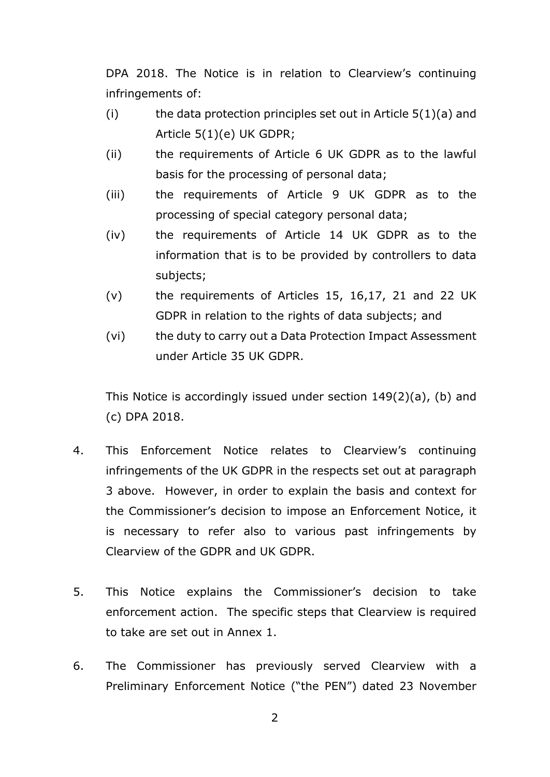DPA 2018. The Notice is in relation to Clearview's continuing infringements of:

- (i) the data protection principles set out in Article  $5(1)(a)$  and Article 5(1)(e) UK GDPR;
- (ii) the requirements of Article 6 UK GDPR as to the lawful basis for the processing of personal data;
- (iii) the requirements of Article 9 UK GDPR as to the processing of special category personal data;
- (iv) the requirements of Article 14 UK GDPR as to the information that is to be provided by controllers to data subjects;
- (v) the requirements of Articles 15, 16,17, 21 and 22 UK GDPR in relation to the rights of data subjects; and
- (vi) the duty to carry out a Data Protection Impact Assessment under Article 35 UK GDPR.

This Notice is accordingly issued under section 149(2)(a), (b) and (c) DPA 2018.

- 4. This Enforcement Notice relates to Clearview's continuing infringements of the UK GDPR in the respects set out at paragraph 3 above. However, in order to explain the basis and context for the Commissioner's decision to impose an Enforcement Notice, it is necessary to refer also to various past infringements by Clearview of the GDPR and UK GDPR.
- 5. This Notice explains the Commissioner's decision to take enforcement action. The specific steps that Clearview is required to take are set out in Annex 1.
- 6. The Commissioner has previously served Clearview with a Preliminary Enforcement Notice ("the PEN") dated 23 November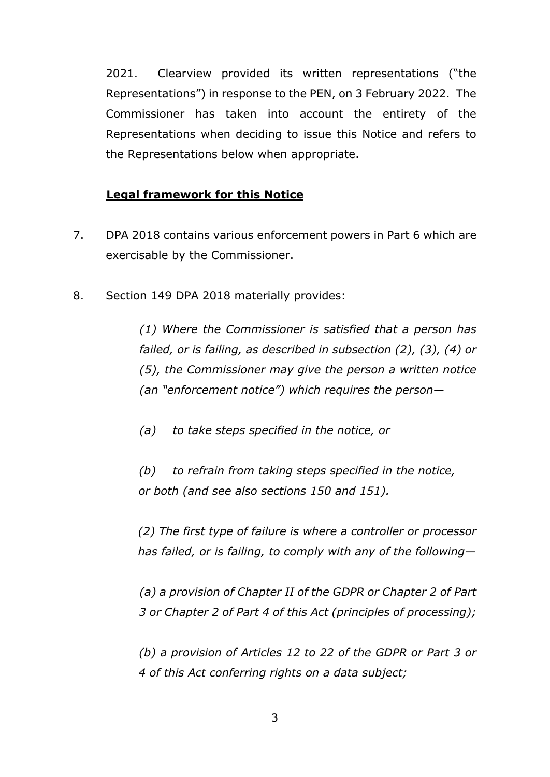2021. Clearview provided its written representations ("the Representations") in response to the PEN, on 3 February 2022. The Commissioner has taken into account the entirety of the Representations when deciding to issue this Notice and refers to the Representations below when appropriate.

### **Legal framework for this Notice**

- 7. DPA 2018 contains various enforcement powers in Part 6 which are exercisable by the Commissioner.
- 8. Section 149 DPA 2018 materially provides:

*(1) Where the Commissioner is satisfied that a person has failed, or is failing, as described in subsection (2), (3), (4) or (5), the Commissioner may give the person a written notice (an "enforcement notice") which requires the person—*

*(a) to take steps specified in the notice, or*

*(b) to refrain from taking steps specified in the notice, or both (and see also sections 150 and 151).* 

*(2) The first type of failure is where a controller or processor has failed, or is failing, to comply with any of the following—*

*(a) a provision of Chapter II of the GDPR or Chapter 2 of Part 3 or Chapter 2 of Part 4 of this Act (principles of processing);*

*(b) a provision of Articles 12 to 22 of the GDPR or Part 3 or 4 of this Act conferring rights on a data subject;*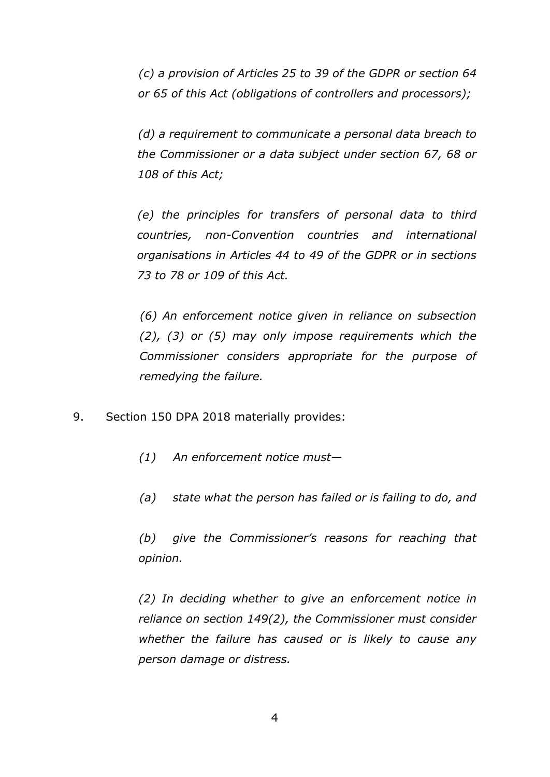*(c) a provision of Articles 25 to 39 of the GDPR or section 64 or 65 of this Act (obligations of controllers and processors);*

*(d) a requirement to communicate a personal data breach to the Commissioner or a data subject under section 67, 68 or 108 of this Act;*

*(e) the principles for transfers of personal data to third countries, non-Convention countries and international organisations in Articles 44 to 49 of the GDPR or in sections 73 to 78 or 109 of this Act.*

*(6) An enforcement notice given in reliance on subsection (2), (3) or (5) may only impose requirements which the Commissioner considers appropriate for the purpose of remedying the failure.*

- 9. Section 150 DPA 2018 materially provides:
	- *(1) An enforcement notice must—*
	- *(a) state what the person has failed or is failing to do, and*

*(b) give the Commissioner's reasons for reaching that opinion.*

*(2) In deciding whether to give an enforcement notice in reliance on section 149(2), the Commissioner must consider whether the failure has caused or is likely to cause any person damage or distress.*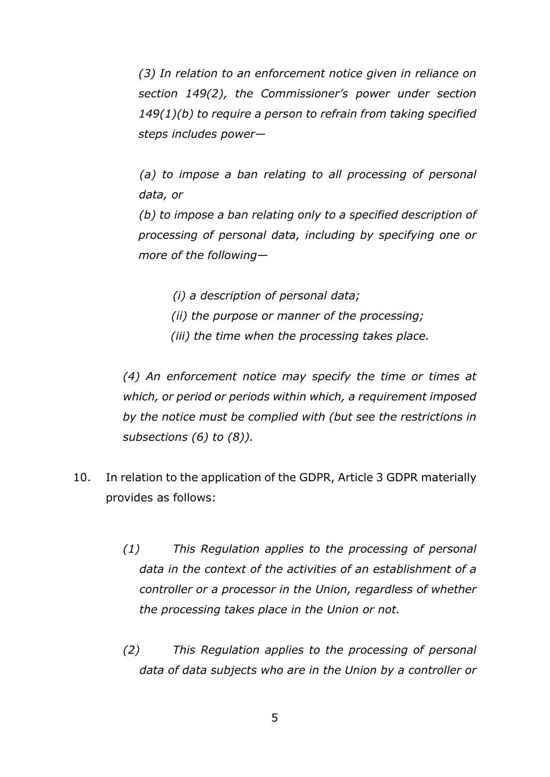*(3) In relation to an enforcement notice given in reliance on section 149(2), the Commissioner's power under section 149(1)(b) to require a person to refrain from taking specified steps includes power—*

*(a) to impose a ban relating to all processing of personal data, or*

*(b) to impose a ban relating only to a specified description of processing of personal data, including by specifying one or more of the following—*

*(i) a description of personal data;*

- *(ii) the purpose or manner of the processing;*
- *(iii) the time when the processing takes place.*

*(4) An enforcement notice may specify the time or times at which, or period or periods within which, a requirement imposed by the notice must be complied with (but see the restrictions in subsections (6) to (8)).*

- 10. In relation to the application of the GDPR, Article 3 GDPR materially provides as follows:
	- *(1) This Regulation applies to the processing of personal data in the context of the activities of an establishment of a controller or a processor in the Union, regardless of whether the processing takes place in the Union or not.*
	- *(2) This Regulation applies to the processing of personal data of data subjects who are in the Union by a controller or*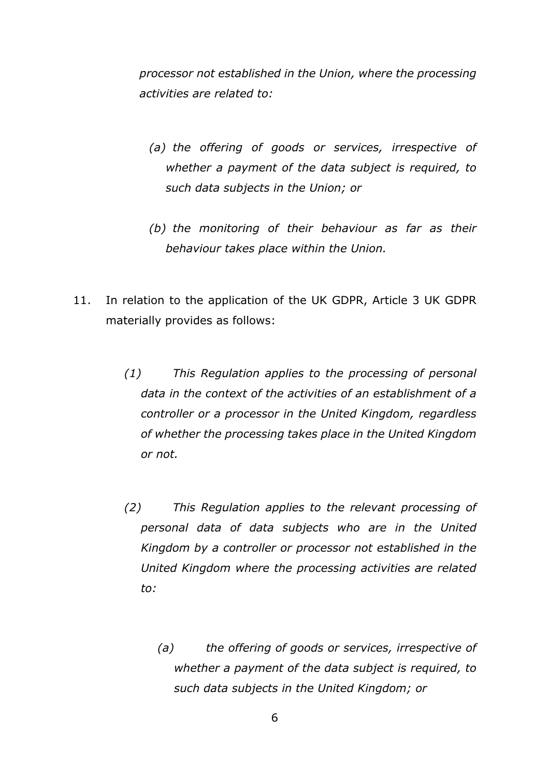*processor not established in the Union, where the processing activities are related to:*

- *(a) the offering of goods or services, irrespective of whether a payment of the data subject is required, to such data subjects in the Union; or*
- *(b) the monitoring of their behaviour as far as their behaviour takes place within the Union.*
- 11. In relation to the application of the UK GDPR, Article 3 UK GDPR materially provides as follows:
	- *(1) This Regulation applies to the processing of personal data in the context of the activities of an establishment of a controller or a processor in the United Kingdom, regardless of whether the processing takes place in the United Kingdom or not.*
	- *(2) This Regulation applies to the relevant processing of personal data of data subjects who are in the United Kingdom by a controller or processor not established in the United Kingdom where the processing activities are related to:*
		- *(a) the offering of goods or services, irrespective of whether a payment of the data subject is required, to such data subjects in the United Kingdom; or*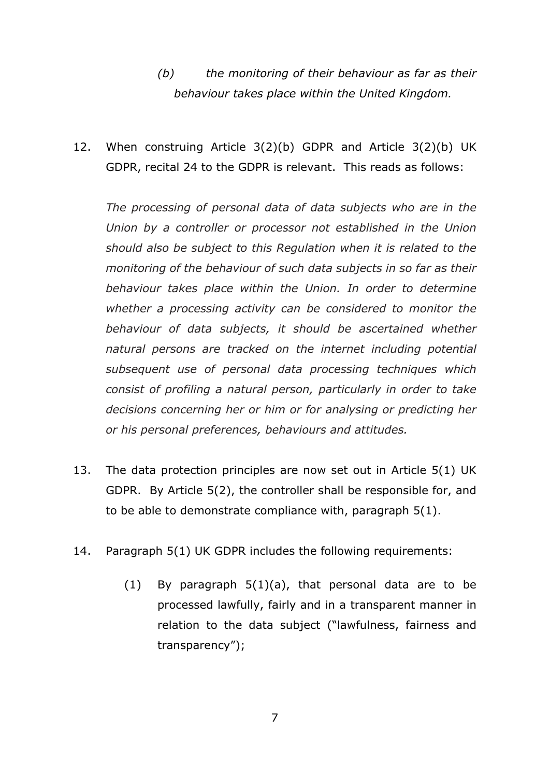*(b) the monitoring of their behaviour as far as their behaviour takes place within the United Kingdom.*

12. When construing Article 3(2)(b) GDPR and Article 3(2)(b) UK GDPR, recital 24 to the GDPR is relevant. This reads as follows:

*The processing of personal data of data subjects who are in the Union by a controller or processor not established in the Union should also be subject to this Regulation when it is related to the monitoring of the behaviour of such data subjects in so far as their behaviour takes place within the Union. In order to determine whether a processing activity can be considered to monitor the behaviour of data subjects, it should be ascertained whether natural persons are tracked on the internet including potential subsequent use of personal data processing techniques which consist of profiling a natural person, particularly in order to take decisions concerning her or him or for analysing or predicting her or his personal preferences, behaviours and attitudes.*

- 13. The data protection principles are now set out in Article 5(1) UK GDPR. By Article 5(2), the controller shall be responsible for, and to be able to demonstrate compliance with, paragraph 5(1).
- 14. Paragraph 5(1) UK GDPR includes the following requirements:
	- (1) By paragraph  $5(1)(a)$ , that personal data are to be processed lawfully, fairly and in a transparent manner in relation to the data subject ("lawfulness, fairness and transparency");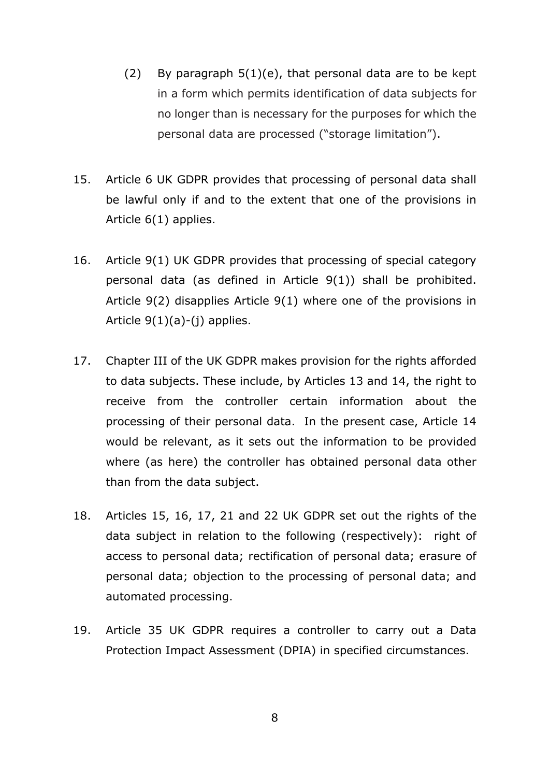- (2) By paragraph  $5(1)(e)$ , that personal data are to be kept in a form which permits identification of data subjects for no longer than is necessary for the purposes for which the personal data are processed ("storage limitation").
- 15. Article 6 UK GDPR provides that processing of personal data shall be lawful only if and to the extent that one of the provisions in Article 6(1) applies.
- 16. Article 9(1) UK GDPR provides that processing of special category personal data (as defined in Article 9(1)) shall be prohibited. Article 9(2) disapplies Article 9(1) where one of the provisions in Article 9(1)(a)-(j) applies.
- 17. Chapter III of the UK GDPR makes provision for the rights afforded to data subjects. These include, by Articles 13 and 14, the right to receive from the controller certain information about the processing of their personal data. In the present case, Article 14 would be relevant, as it sets out the information to be provided where (as here) the controller has obtained personal data other than from the data subject.
- 18. Articles 15, 16, 17, 21 and 22 UK GDPR set out the rights of the data subject in relation to the following (respectively): right of access to personal data; rectification of personal data; erasure of personal data; objection to the processing of personal data; and automated processing.
- 19. Article 35 UK GDPR requires a controller to carry out a Data Protection Impact Assessment (DPIA) in specified circumstances.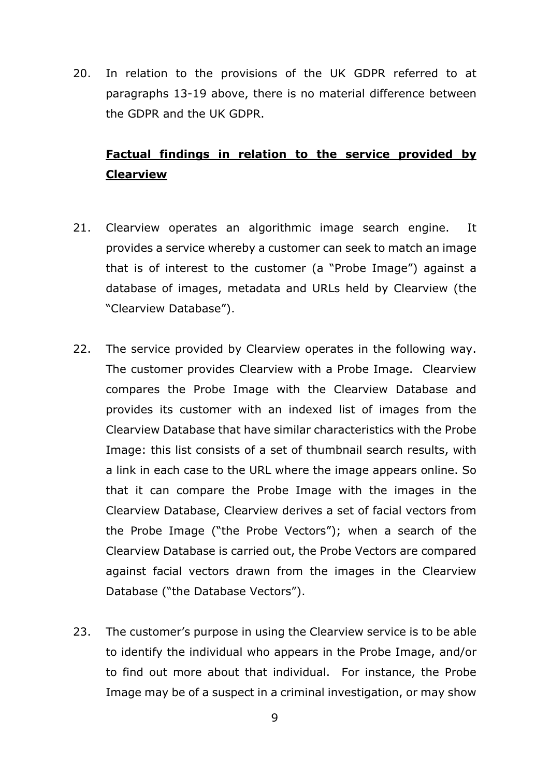20. In relation to the provisions of the UK GDPR referred to at paragraphs 13-19 above, there is no material difference between the GDPR and the UK GDPR.

## **Factual findings in relation to the service provided by Clearview**

- 21. Clearview operates an algorithmic image search engine. It provides a service whereby a customer can seek to match an image that is of interest to the customer (a "Probe Image") against a database of images, metadata and URLs held by Clearview (the "Clearview Database").
- 22. The service provided by Clearview operates in the following way. The customer provides Clearview with a Probe Image. Clearview compares the Probe Image with the Clearview Database and provides its customer with an indexed list of images from the Clearview Database that have similar characteristics with the Probe Image: this list consists of a set of thumbnail search results, with a link in each case to the URL where the image appears online. So that it can compare the Probe Image with the images in the Clearview Database, Clearview derives a set of facial vectors from the Probe Image ("the Probe Vectors"); when a search of the Clearview Database is carried out, the Probe Vectors are compared against facial vectors drawn from the images in the Clearview Database ("the Database Vectors").
- 23. The customer's purpose in using the Clearview service is to be able to identify the individual who appears in the Probe Image, and/or to find out more about that individual. For instance, the Probe Image may be of a suspect in a criminal investigation, or may show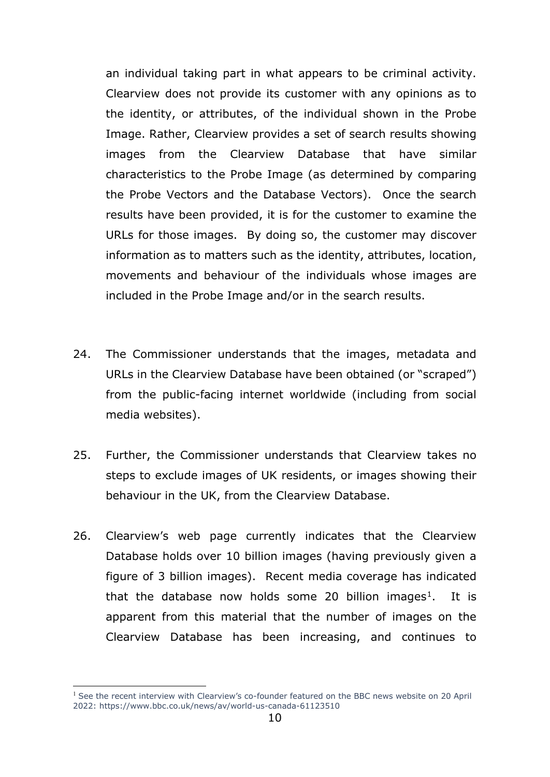an individual taking part in what appears to be criminal activity. Clearview does not provide its customer with any opinions as to the identity, or attributes, of the individual shown in the Probe Image. Rather, Clearview provides a set of search results showing images from the Clearview Database that have similar characteristics to the Probe Image (as determined by comparing the Probe Vectors and the Database Vectors). Once the search results have been provided, it is for the customer to examine the URLs for those images. By doing so, the customer may discover information as to matters such as the identity, attributes, location, movements and behaviour of the individuals whose images are included in the Probe Image and/or in the search results.

- 24. The Commissioner understands that the images, metadata and URLs in the Clearview Database have been obtained (or "scraped") from the public-facing internet worldwide (including from social media websites).
- 25. Further, the Commissioner understands that Clearview takes no steps to exclude images of UK residents, or images showing their behaviour in the UK, from the Clearview Database.
- 26. Clearview's web page currently indicates that the Clearview Database holds over 10 billion images (having previously given a figure of 3 billion images). Recent media coverage has indicated that the database now holds some 20 billion images<sup>1</sup>. It is apparent from this material that the number of images on the Clearview Database has been increasing, and continues to

<span id="page-9-0"></span><sup>&</sup>lt;sup>1</sup> See the recent interview with Clearview's co-founder featured on the BBC news website on 20 April 2022:<https://www.bbc.co.uk/news/av/world-us-canada-61123510>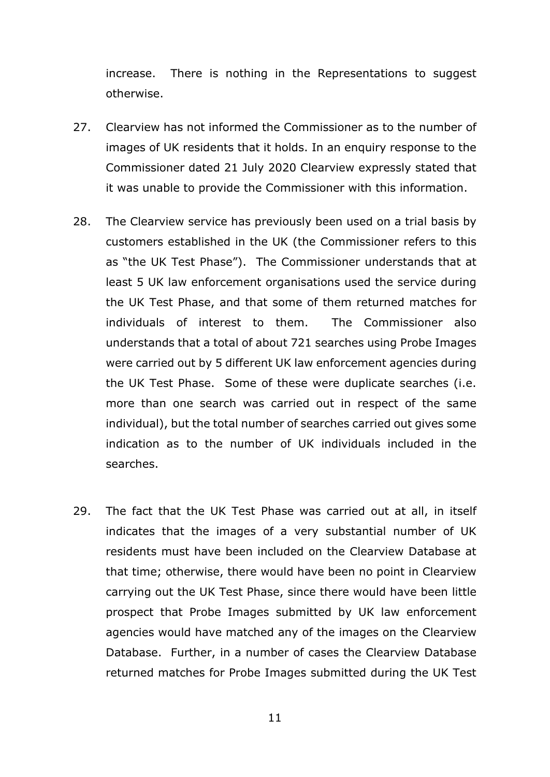increase. There is nothing in the Representations to suggest otherwise.

- 27. Clearview has not informed the Commissioner as to the number of images of UK residents that it holds. In an enquiry response to the Commissioner dated 21 July 2020 Clearview expressly stated that it was unable to provide the Commissioner with this information.
- 28. The Clearview service has previously been used on a trial basis by customers established in the UK (the Commissioner refers to this as "the UK Test Phase"). The Commissioner understands that at least 5 UK law enforcement organisations used the service during the UK Test Phase, and that some of them returned matches for individuals of interest to them. The Commissioner also understands that a total of about 721 searches using Probe Images were carried out by 5 different UK law enforcement agencies during the UK Test Phase. Some of these were duplicate searches (i.e. more than one search was carried out in respect of the same individual), but the total number of searches carried out gives some indication as to the number of UK individuals included in the searches.
- 29. The fact that the UK Test Phase was carried out at all, in itself indicates that the images of a very substantial number of UK residents must have been included on the Clearview Database at that time; otherwise, there would have been no point in Clearview carrying out the UK Test Phase, since there would have been little prospect that Probe Images submitted by UK law enforcement agencies would have matched any of the images on the Clearview Database. Further, in a number of cases the Clearview Database returned matches for Probe Images submitted during the UK Test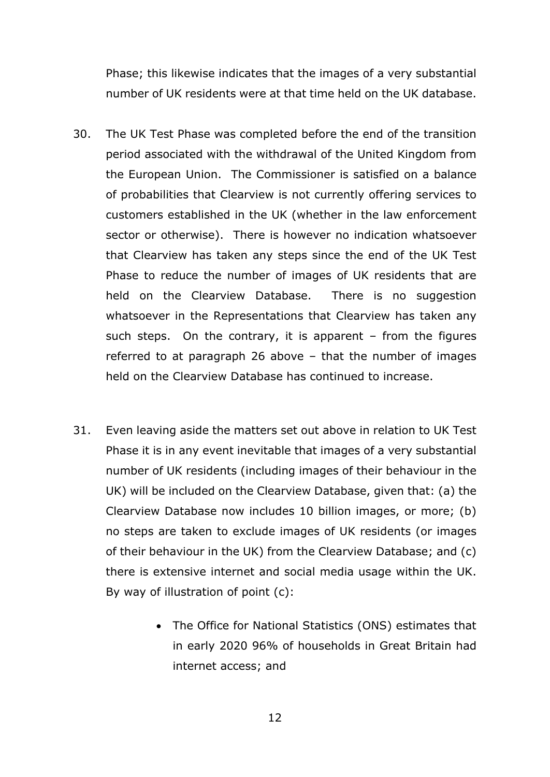Phase; this likewise indicates that the images of a very substantial number of UK residents were at that time held on the UK database.

- 30. The UK Test Phase was completed before the end of the transition period associated with the withdrawal of the United Kingdom from the European Union. The Commissioner is satisfied on a balance of probabilities that Clearview is not currently offering services to customers established in the UK (whether in the law enforcement sector or otherwise). There is however no indication whatsoever that Clearview has taken any steps since the end of the UK Test Phase to reduce the number of images of UK residents that are held on the Clearview Database. There is no suggestion whatsoever in the Representations that Clearview has taken any such steps. On the contrary, it is apparent – from the figures referred to at paragraph 26 above – that the number of images held on the Clearview Database has continued to increase.
- 31. Even leaving aside the matters set out above in relation to UK Test Phase it is in any event inevitable that images of a very substantial number of UK residents (including images of their behaviour in the UK) will be included on the Clearview Database, given that: (a) the Clearview Database now includes 10 billion images, or more; (b) no steps are taken to exclude images of UK residents (or images of their behaviour in the UK) from the Clearview Database; and (c) there is extensive internet and social media usage within the UK. By way of illustration of point (c):
	- The Office for National Statistics (ONS) estimates that in early 2020 96% of households in Great Britain had internet access; and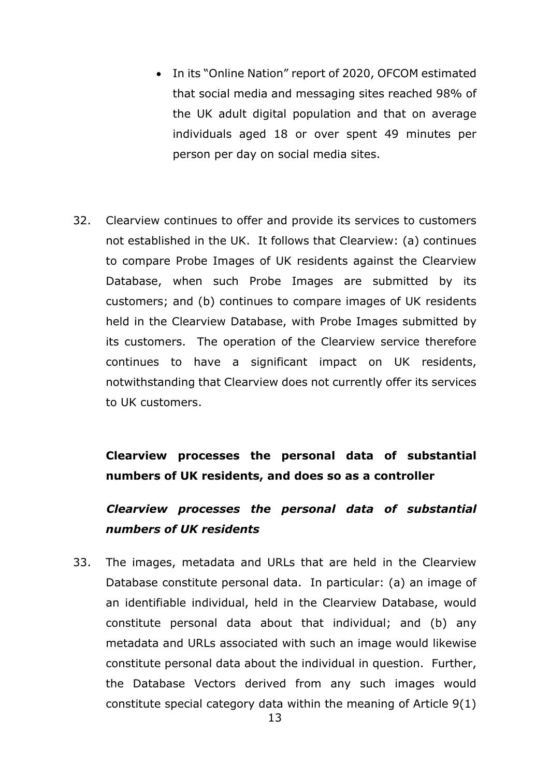- In its "Online Nation" report of 2020, OFCOM estimated that social media and messaging sites reached 98% of the UK adult digital population and that on average individuals aged 18 or over spent 49 minutes per person per day on social media sites.
- 32. Clearview continues to offer and provide its services to customers not established in the UK. It follows that Clearview: (a) continues to compare Probe Images of UK residents against the Clearview Database, when such Probe Images are submitted by its customers; and (b) continues to compare images of UK residents held in the Clearview Database, with Probe Images submitted by its customers. The operation of the Clearview service therefore continues to have a significant impact on UK residents, notwithstanding that Clearview does not currently offer its services to UK customers.

# **Clearview processes the personal data of substantial numbers of UK residents, and does so as a controller**

# *Clearview processes the personal data of substantial numbers of UK residents*

33. The images, metadata and URLs that are held in the Clearview Database constitute personal data. In particular: (a) an image of an identifiable individual, held in the Clearview Database, would constitute personal data about that individual; and (b) any metadata and URLs associated with such an image would likewise constitute personal data about the individual in question. Further, the Database Vectors derived from any such images would constitute special category data within the meaning of Article 9(1)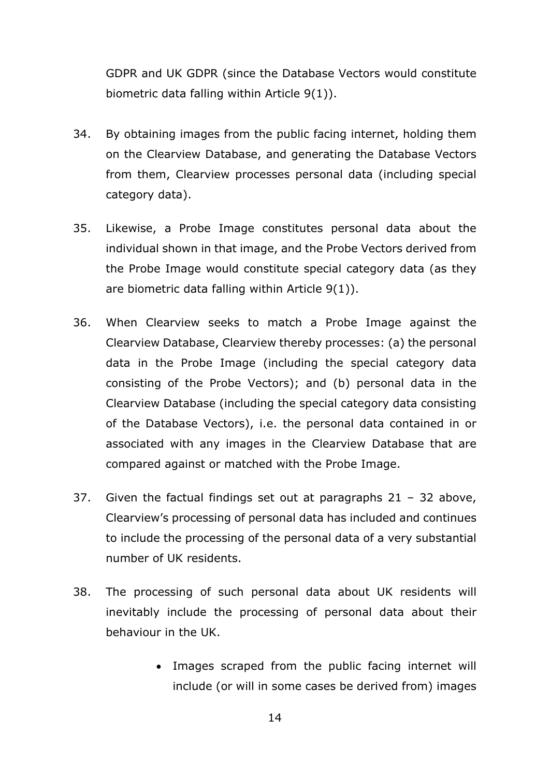GDPR and UK GDPR (since the Database Vectors would constitute biometric data falling within Article 9(1)).

- 34. By obtaining images from the public facing internet, holding them on the Clearview Database, and generating the Database Vectors from them, Clearview processes personal data (including special category data).
- 35. Likewise, a Probe Image constitutes personal data about the individual shown in that image, and the Probe Vectors derived from the Probe Image would constitute special category data (as they are biometric data falling within Article 9(1)).
- 36. When Clearview seeks to match a Probe Image against the Clearview Database, Clearview thereby processes: (a) the personal data in the Probe Image (including the special category data consisting of the Probe Vectors); and (b) personal data in the Clearview Database (including the special category data consisting of the Database Vectors), i.e. the personal data contained in or associated with any images in the Clearview Database that are compared against or matched with the Probe Image.
- 37. Given the factual findings set out at paragraphs  $21 32$  above, Clearview's processing of personal data has included and continues to include the processing of the personal data of a very substantial number of UK residents.
- 38. The processing of such personal data about UK residents will inevitably include the processing of personal data about their behaviour in the UK.
	- Images scraped from the public facing internet will include (or will in some cases be derived from) images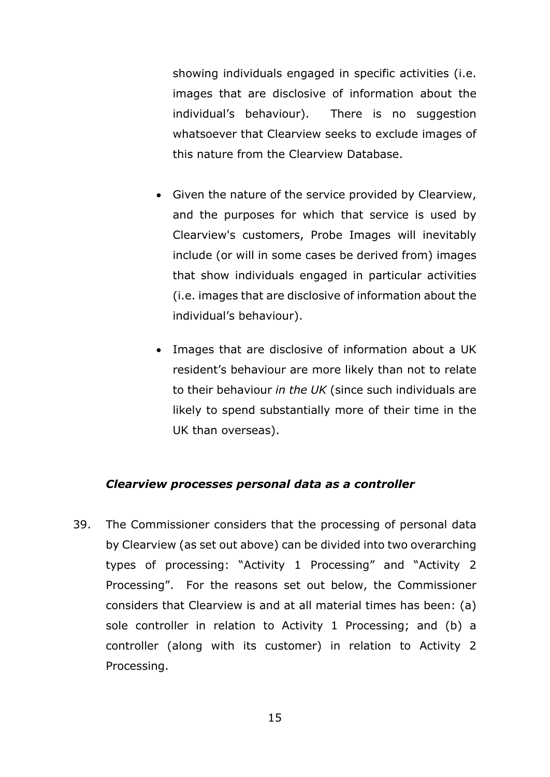showing individuals engaged in specific activities (i.e. images that are disclosive of information about the individual's behaviour). There is no suggestion whatsoever that Clearview seeks to exclude images of this nature from the Clearview Database.

- Given the nature of the service provided by Clearview, and the purposes for which that service is used by Clearview's customers, Probe Images will inevitably include (or will in some cases be derived from) images that show individuals engaged in particular activities (i.e. images that are disclosive of information about the individual's behaviour).
- Images that are disclosive of information about a UK resident's behaviour are more likely than not to relate to their behaviour *in the UK* (since such individuals are likely to spend substantially more of their time in the UK than overseas).

#### *Clearview processes personal data as a controller*

39. The Commissioner considers that the processing of personal data by Clearview (as set out above) can be divided into two overarching types of processing: "Activity 1 Processing" and "Activity 2 Processing". For the reasons set out below, the Commissioner considers that Clearview is and at all material times has been: (a) sole controller in relation to Activity 1 Processing; and (b) a controller (along with its customer) in relation to Activity 2 Processing.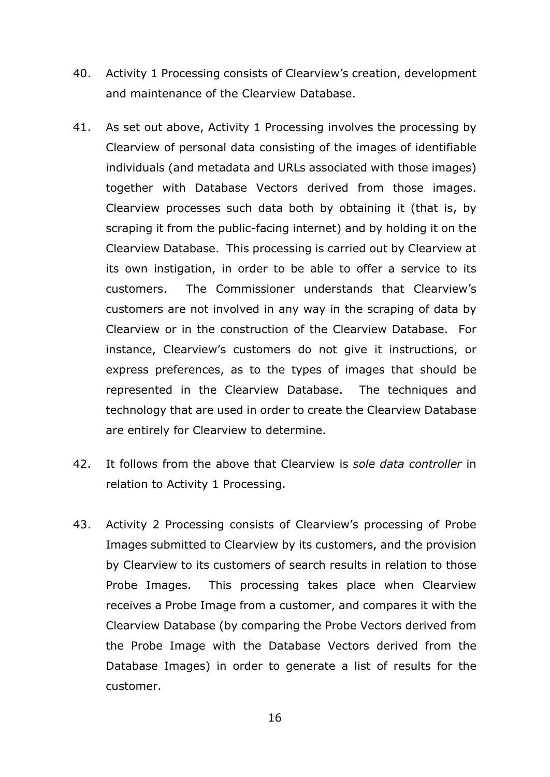- 40. Activity 1 Processing consists of Clearview's creation, development and maintenance of the Clearview Database.
- 41. As set out above, Activity 1 Processing involves the processing by Clearview of personal data consisting of the images of identifiable individuals (and metadata and URLs associated with those images) together with Database Vectors derived from those images. Clearview processes such data both by obtaining it (that is, by scraping it from the public-facing internet) and by holding it on the Clearview Database. This processing is carried out by Clearview at its own instigation, in order to be able to offer a service to its customers. The Commissioner understands that Clearview's customers are not involved in any way in the scraping of data by Clearview or in the construction of the Clearview Database. For instance, Clearview's customers do not give it instructions, or express preferences, as to the types of images that should be represented in the Clearview Database. The techniques and technology that are used in order to create the Clearview Database are entirely for Clearview to determine.
- 42. It follows from the above that Clearview is *sole data controller* in relation to Activity 1 Processing.
- 43. Activity 2 Processing consists of Clearview's processing of Probe Images submitted to Clearview by its customers, and the provision by Clearview to its customers of search results in relation to those Probe Images. This processing takes place when Clearview receives a Probe Image from a customer, and compares it with the Clearview Database (by comparing the Probe Vectors derived from the Probe Image with the Database Vectors derived from the Database Images) in order to generate a list of results for the customer.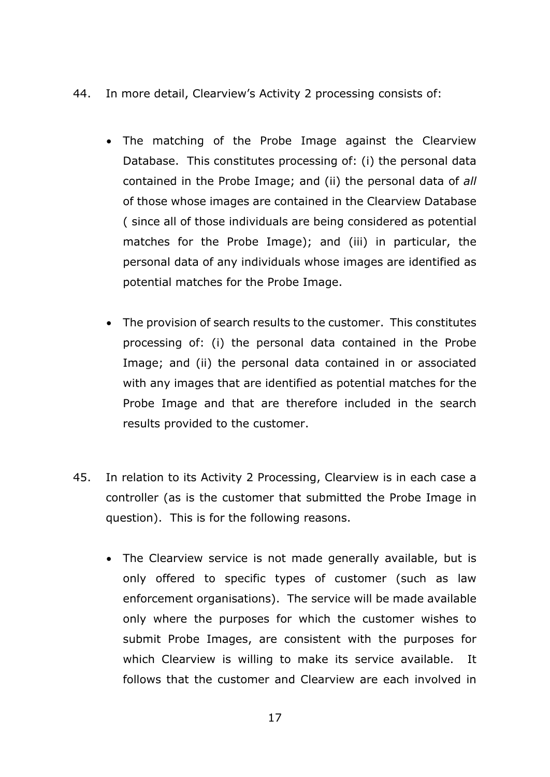- 44. In more detail, Clearview's Activity 2 processing consists of:
	- The matching of the Probe Image against the Clearview Database. This constitutes processing of: (i) the personal data contained in the Probe Image; and (ii) the personal data of *all* of those whose images are contained in the Clearview Database ( since all of those individuals are being considered as potential matches for the Probe Image); and (iii) in particular, the personal data of any individuals whose images are identified as potential matches for the Probe Image.
	- The provision of search results to the customer. This constitutes processing of: (i) the personal data contained in the Probe Image; and (ii) the personal data contained in or associated with any images that are identified as potential matches for the Probe Image and that are therefore included in the search results provided to the customer.
- 45. In relation to its Activity 2 Processing, Clearview is in each case a controller (as is the customer that submitted the Probe Image in question). This is for the following reasons.
	- The Clearview service is not made generally available, but is only offered to specific types of customer (such as law enforcement organisations). The service will be made available only where the purposes for which the customer wishes to submit Probe Images, are consistent with the purposes for which Clearview is willing to make its service available. It follows that the customer and Clearview are each involved in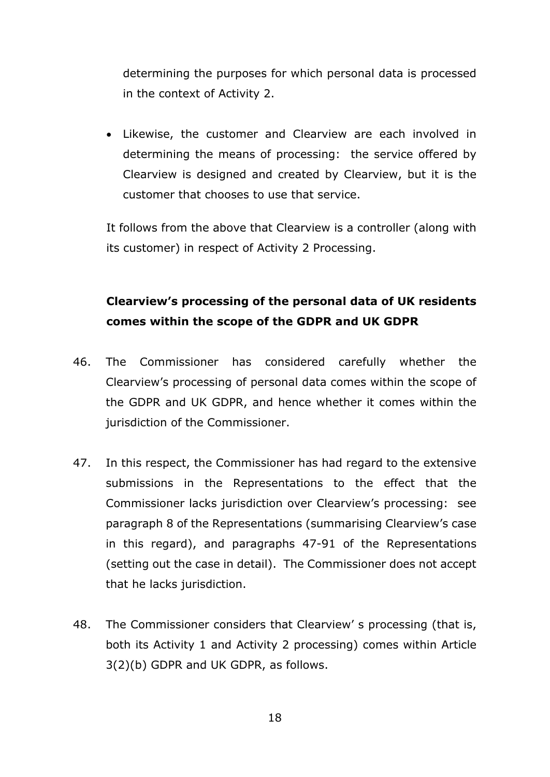determining the purposes for which personal data is processed in the context of Activity 2.

• Likewise, the customer and Clearview are each involved in determining the means of processing: the service offered by Clearview is designed and created by Clearview, but it is the customer that chooses to use that service.

It follows from the above that Clearview is a controller (along with its customer) in respect of Activity 2 Processing.

# **Clearview's processing of the personal data of UK residents comes within the scope of the GDPR and UK GDPR**

- 46. The Commissioner has considered carefully whether the Clearview's processing of personal data comes within the scope of the GDPR and UK GDPR, and hence whether it comes within the jurisdiction of the Commissioner.
- 47. In this respect, the Commissioner has had regard to the extensive submissions in the Representations to the effect that the Commissioner lacks jurisdiction over Clearview's processing: see paragraph 8 of the Representations (summarising Clearview's case in this regard), and paragraphs 47-91 of the Representations (setting out the case in detail). The Commissioner does not accept that he lacks jurisdiction.
- 48. The Commissioner considers that Clearview' s processing (that is, both its Activity 1 and Activity 2 processing) comes within Article 3(2)(b) GDPR and UK GDPR, as follows.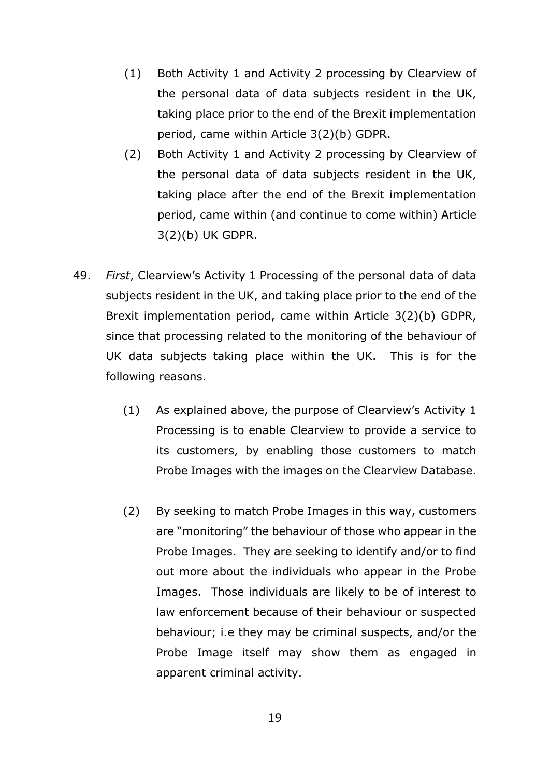- (1) Both Activity 1 and Activity 2 processing by Clearview of the personal data of data subjects resident in the UK, taking place prior to the end of the Brexit implementation period, came within Article 3(2)(b) GDPR.
- (2) Both Activity 1 and Activity 2 processing by Clearview of the personal data of data subjects resident in the UK, taking place after the end of the Brexit implementation period, came within (and continue to come within) Article 3(2)(b) UK GDPR.
- 49. *First*, Clearview's Activity 1 Processing of the personal data of data subjects resident in the UK, and taking place prior to the end of the Brexit implementation period, came within Article 3(2)(b) GDPR, since that processing related to the monitoring of the behaviour of UK data subjects taking place within the UK. This is for the following reasons.
	- (1) As explained above, the purpose of Clearview's Activity 1 Processing is to enable Clearview to provide a service to its customers, by enabling those customers to match Probe Images with the images on the Clearview Database.
	- (2) By seeking to match Probe Images in this way, customers are "monitoring" the behaviour of those who appear in the Probe Images. They are seeking to identify and/or to find out more about the individuals who appear in the Probe Images. Those individuals are likely to be of interest to law enforcement because of their behaviour or suspected behaviour; i.e they may be criminal suspects, and/or the Probe Image itself may show them as engaged in apparent criminal activity.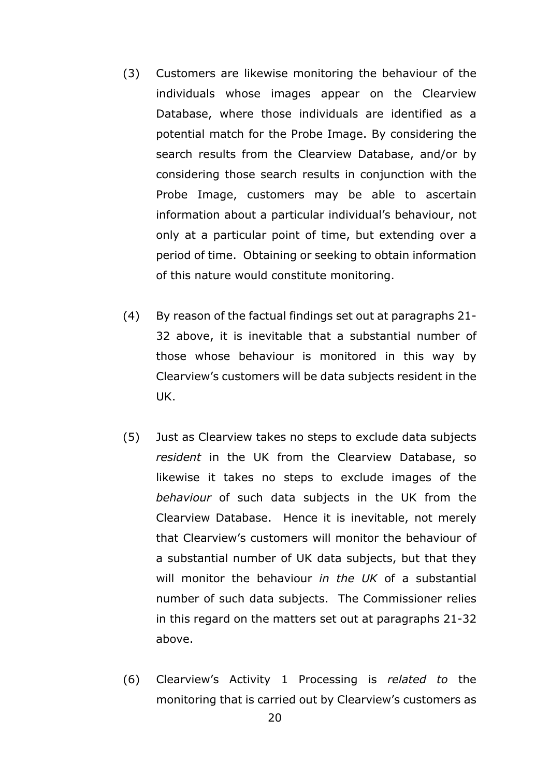- (3) Customers are likewise monitoring the behaviour of the individuals whose images appear on the Clearview Database, where those individuals are identified as a potential match for the Probe Image. By considering the search results from the Clearview Database, and/or by considering those search results in conjunction with the Probe Image, customers may be able to ascertain information about a particular individual's behaviour, not only at a particular point of time, but extending over a period of time. Obtaining or seeking to obtain information of this nature would constitute monitoring.
- (4) By reason of the factual findings set out at paragraphs 21- 32 above, it is inevitable that a substantial number of those whose behaviour is monitored in this way by Clearview's customers will be data subjects resident in the UK.
- (5) Just as Clearview takes no steps to exclude data subjects *resident* in the UK from the Clearview Database, so likewise it takes no steps to exclude images of the *behaviour* of such data subjects in the UK from the Clearview Database. Hence it is inevitable, not merely that Clearview's customers will monitor the behaviour of a substantial number of UK data subjects, but that they will monitor the behaviour *in the UK* of a substantial number of such data subjects. The Commissioner relies in this regard on the matters set out at paragraphs 21-32 above.
- (6) Clearview's Activity 1 Processing is *related to* the monitoring that is carried out by Clearview's customers as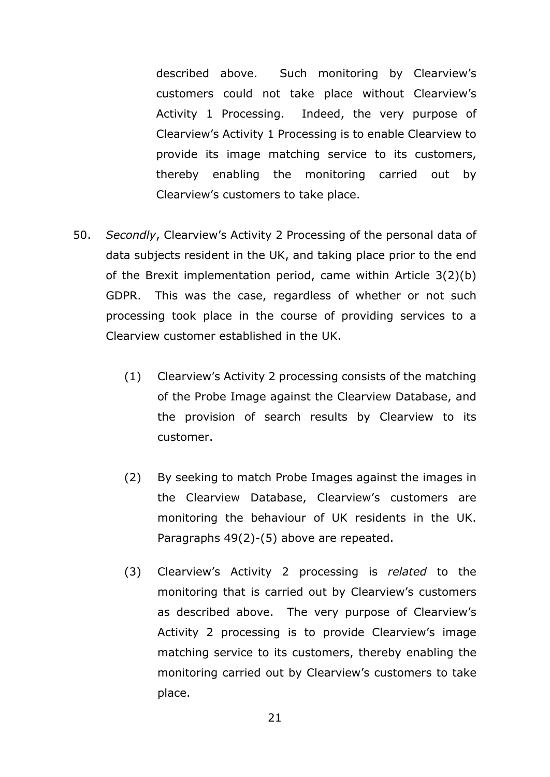described above. Such monitoring by Clearview's customers could not take place without Clearview's Activity 1 Processing. Indeed, the very purpose of Clearview's Activity 1 Processing is to enable Clearview to provide its image matching service to its customers, thereby enabling the monitoring carried out by Clearview's customers to take place.

- 50. *Secondly*, Clearview's Activity 2 Processing of the personal data of data subjects resident in the UK, and taking place prior to the end of the Brexit implementation period, came within Article 3(2)(b) GDPR. This was the case, regardless of whether or not such processing took place in the course of providing services to a Clearview customer established in the UK.
	- (1) Clearview's Activity 2 processing consists of the matching of the Probe Image against the Clearview Database, and the provision of search results by Clearview to its customer.
	- (2) By seeking to match Probe Images against the images in the Clearview Database, Clearview's customers are monitoring the behaviour of UK residents in the UK. Paragraphs 49(2)-(5) above are repeated.
	- (3) Clearview's Activity 2 processing is *related* to the monitoring that is carried out by Clearview's customers as described above. The very purpose of Clearview's Activity 2 processing is to provide Clearview's image matching service to its customers, thereby enabling the monitoring carried out by Clearview's customers to take place.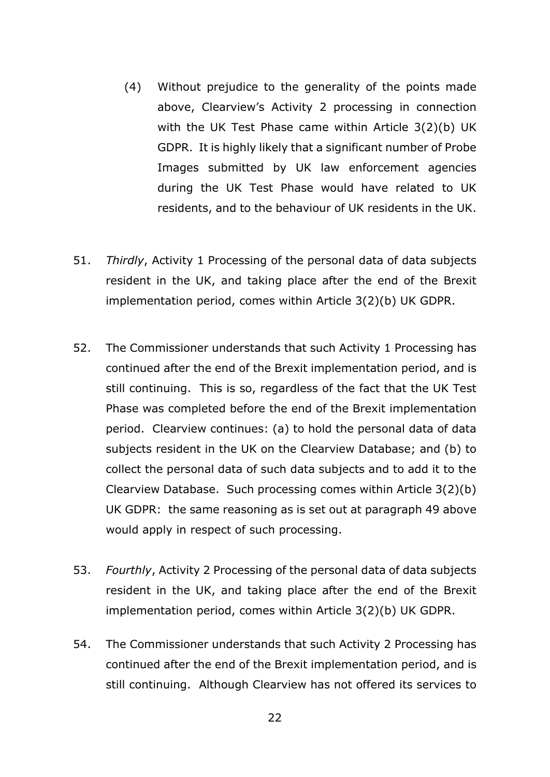- (4) Without prejudice to the generality of the points made above, Clearview's Activity 2 processing in connection with the UK Test Phase came within Article 3(2)(b) UK GDPR. It is highly likely that a significant number of Probe Images submitted by UK law enforcement agencies during the UK Test Phase would have related to UK residents, and to the behaviour of UK residents in the UK.
- 51. *Thirdly*, Activity 1 Processing of the personal data of data subjects resident in the UK, and taking place after the end of the Brexit implementation period, comes within Article 3(2)(b) UK GDPR.
- 52. The Commissioner understands that such Activity 1 Processing has continued after the end of the Brexit implementation period, and is still continuing. This is so, regardless of the fact that the UK Test Phase was completed before the end of the Brexit implementation period. Clearview continues: (a) to hold the personal data of data subjects resident in the UK on the Clearview Database; and (b) to collect the personal data of such data subjects and to add it to the Clearview Database. Such processing comes within Article 3(2)(b) UK GDPR: the same reasoning as is set out at paragraph 49 above would apply in respect of such processing.
- 53. *Fourthly*, Activity 2 Processing of the personal data of data subjects resident in the UK, and taking place after the end of the Brexit implementation period, comes within Article 3(2)(b) UK GDPR.
- 54. The Commissioner understands that such Activity 2 Processing has continued after the end of the Brexit implementation period, and is still continuing. Although Clearview has not offered its services to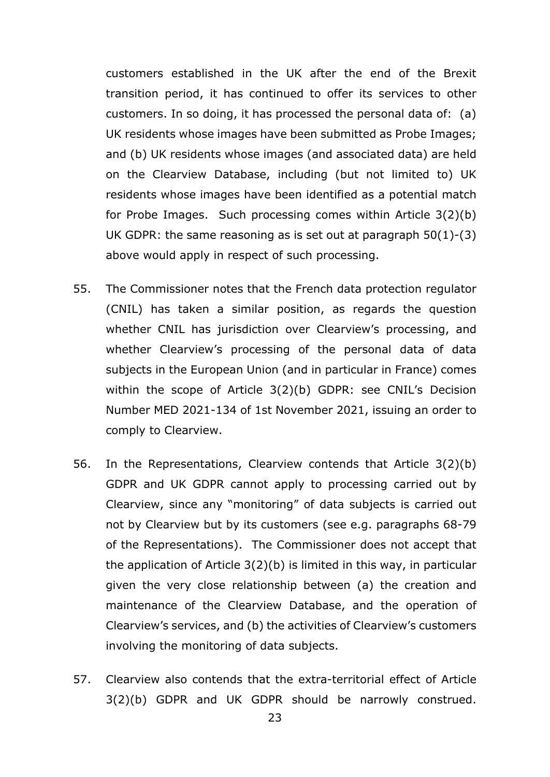customers established in the UK after the end of the Brexit transition period, it has continued to offer its services to other customers. In so doing, it has processed the personal data of: (a) UK residents whose images have been submitted as Probe Images; and (b) UK residents whose images (and associated data) are held on the Clearview Database, including (but not limited to) UK residents whose images have been identified as a potential match for Probe Images. Such processing comes within Article 3(2)(b) UK GDPR: the same reasoning as is set out at paragraph 50(1)-(3) above would apply in respect of such processing.

- 55. The Commissioner notes that the French data protection regulator (CNIL) has taken a similar position, as regards the question whether CNIL has jurisdiction over Clearview's processing, and whether Clearview's processing of the personal data of data subjects in the European Union (and in particular in France) comes within the scope of Article 3(2)(b) GDPR: see CNIL's Decision Number MED 2021-134 of 1st November 2021, issuing an order to comply to Clearview.
- 56. In the Representations, Clearview contends that Article 3(2)(b) GDPR and UK GDPR cannot apply to processing carried out by Clearview, since any "monitoring" of data subjects is carried out not by Clearview but by its customers (see e.g. paragraphs 68-79 of the Representations). The Commissioner does not accept that the application of Article 3(2)(b) is limited in this way, in particular given the very close relationship between (a) the creation and maintenance of the Clearview Database, and the operation of Clearview's services, and (b) the activities of Clearview's customers involving the monitoring of data subjects.
- 57. Clearview also contends that the extra-territorial effect of Article 3(2)(b) GDPR and UK GDPR should be narrowly construed.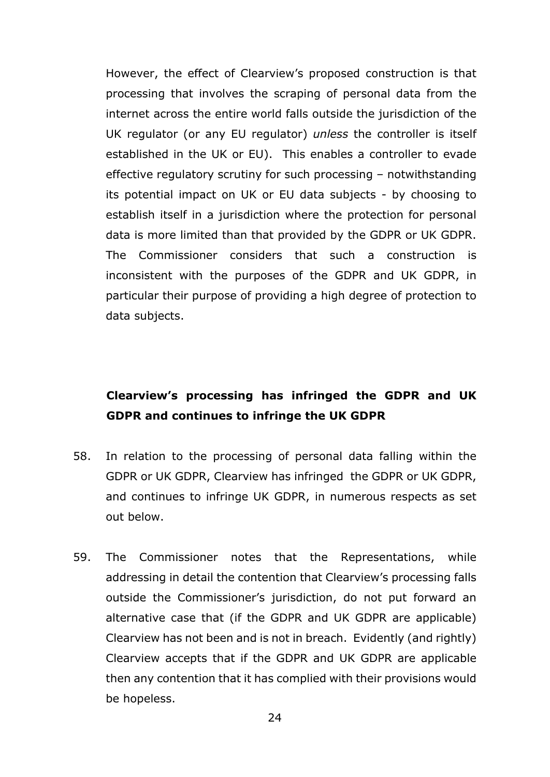However, the effect of Clearview's proposed construction is that processing that involves the scraping of personal data from the internet across the entire world falls outside the jurisdiction of the UK regulator (or any EU regulator) *unless* the controller is itself established in the UK or EU). This enables a controller to evade effective regulatory scrutiny for such processing – notwithstanding its potential impact on UK or EU data subjects - by choosing to establish itself in a jurisdiction where the protection for personal data is more limited than that provided by the GDPR or UK GDPR. The Commissioner considers that such a construction is inconsistent with the purposes of the GDPR and UK GDPR, in particular their purpose of providing a high degree of protection to data subjects.

## **Clearview's processing has infringed the GDPR and UK GDPR and continues to infringe the UK GDPR**

- 58. In relation to the processing of personal data falling within the GDPR or UK GDPR, Clearview has infringed the GDPR or UK GDPR, and continues to infringe UK GDPR, in numerous respects as set out below.
- 59. The Commissioner notes that the Representations, while addressing in detail the contention that Clearview's processing falls outside the Commissioner's jurisdiction, do not put forward an alternative case that (if the GDPR and UK GDPR are applicable) Clearview has not been and is not in breach. Evidently (and rightly) Clearview accepts that if the GDPR and UK GDPR are applicable then any contention that it has complied with their provisions would be hopeless.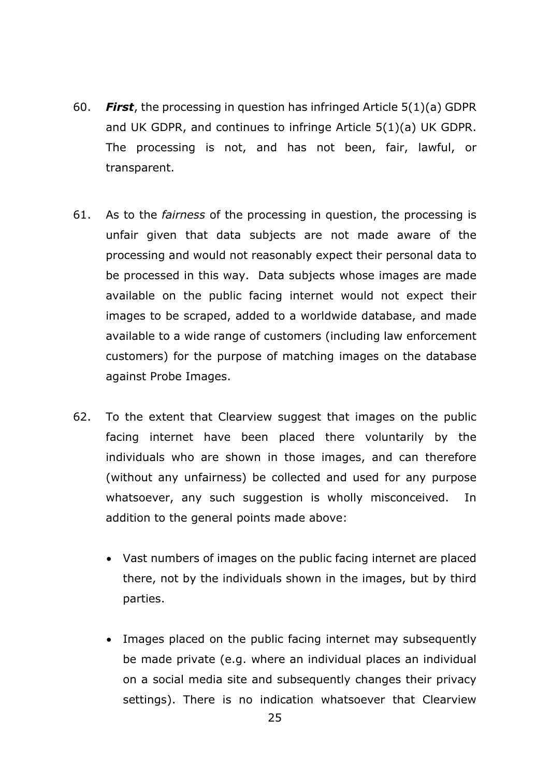- 60. *First*, the processing in question has infringed Article 5(1)(a) GDPR and UK GDPR, and continues to infringe Article 5(1)(a) UK GDPR. The processing is not, and has not been, fair, lawful, or transparent.
- 61. As to the *fairness* of the processing in question, the processing is unfair given that data subjects are not made aware of the processing and would not reasonably expect their personal data to be processed in this way. Data subjects whose images are made available on the public facing internet would not expect their images to be scraped, added to a worldwide database, and made available to a wide range of customers (including law enforcement customers) for the purpose of matching images on the database against Probe Images.
- 62. To the extent that Clearview suggest that images on the public facing internet have been placed there voluntarily by the individuals who are shown in those images, and can therefore (without any unfairness) be collected and used for any purpose whatsoever, any such suggestion is wholly misconceived. In addition to the general points made above:
	- Vast numbers of images on the public facing internet are placed there, not by the individuals shown in the images, but by third parties.
	- Images placed on the public facing internet may subsequently be made private (e.g. where an individual places an individual on a social media site and subsequently changes their privacy settings). There is no indication whatsoever that Clearview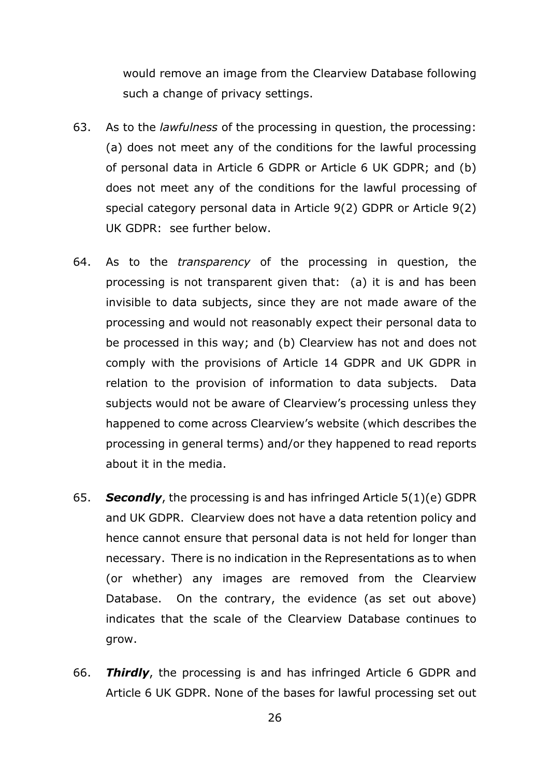would remove an image from the Clearview Database following such a change of privacy settings.

- 63. As to the *lawfulness* of the processing in question, the processing: (a) does not meet any of the conditions for the lawful processing of personal data in Article 6 GDPR or Article 6 UK GDPR; and (b) does not meet any of the conditions for the lawful processing of special category personal data in Article 9(2) GDPR or Article 9(2) UK GDPR: see further below.
- 64. As to the *transparency* of the processing in question, the processing is not transparent given that: (a) it is and has been invisible to data subjects, since they are not made aware of the processing and would not reasonably expect their personal data to be processed in this way; and (b) Clearview has not and does not comply with the provisions of Article 14 GDPR and UK GDPR in relation to the provision of information to data subjects. Data subjects would not be aware of Clearview's processing unless they happened to come across Clearview's website (which describes the processing in general terms) and/or they happened to read reports about it in the media.
- 65. *Secondly*, the processing is and has infringed Article 5(1)(e) GDPR and UK GDPR. Clearview does not have a data retention policy and hence cannot ensure that personal data is not held for longer than necessary. There is no indication in the Representations as to when (or whether) any images are removed from the Clearview Database. On the contrary, the evidence (as set out above) indicates that the scale of the Clearview Database continues to grow.
- 66. *Thirdly*, the processing is and has infringed Article 6 GDPR and Article 6 UK GDPR. None of the bases for lawful processing set out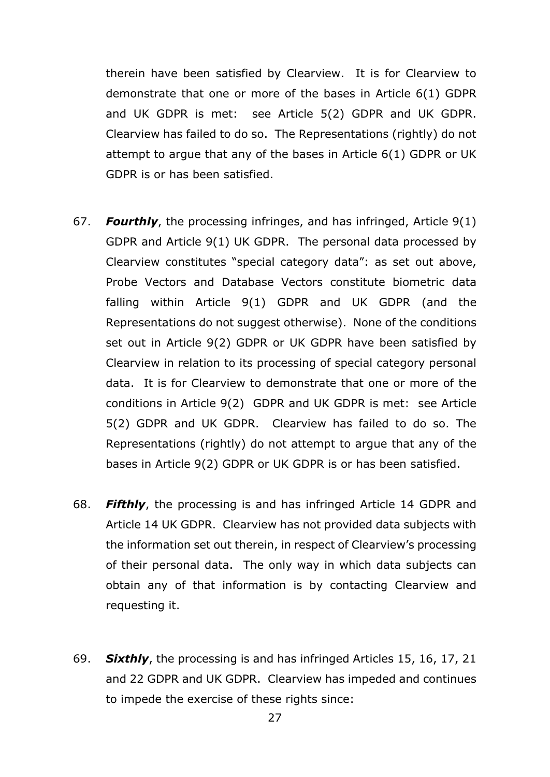therein have been satisfied by Clearview. It is for Clearview to demonstrate that one or more of the bases in Article 6(1) GDPR and UK GDPR is met: see Article 5(2) GDPR and UK GDPR. Clearview has failed to do so. The Representations (rightly) do not attempt to argue that any of the bases in Article 6(1) GDPR or UK GDPR is or has been satisfied.

- 67. *Fourthly*, the processing infringes, and has infringed, Article 9(1) GDPR and Article 9(1) UK GDPR. The personal data processed by Clearview constitutes "special category data": as set out above, Probe Vectors and Database Vectors constitute biometric data falling within Article 9(1) GDPR and UK GDPR (and the Representations do not suggest otherwise). None of the conditions set out in Article 9(2) GDPR or UK GDPR have been satisfied by Clearview in relation to its processing of special category personal data. It is for Clearview to demonstrate that one or more of the conditions in Article 9(2) GDPR and UK GDPR is met: see Article 5(2) GDPR and UK GDPR. Clearview has failed to do so. The Representations (rightly) do not attempt to argue that any of the bases in Article 9(2) GDPR or UK GDPR is or has been satisfied.
- 68. *Fifthly*, the processing is and has infringed Article 14 GDPR and Article 14 UK GDPR. Clearview has not provided data subjects with the information set out therein, in respect of Clearview's processing of their personal data. The only way in which data subjects can obtain any of that information is by contacting Clearview and requesting it.
- 69. *Sixthly*, the processing is and has infringed Articles 15, 16, 17, 21 and 22 GDPR and UK GDPR. Clearview has impeded and continues to impede the exercise of these rights since: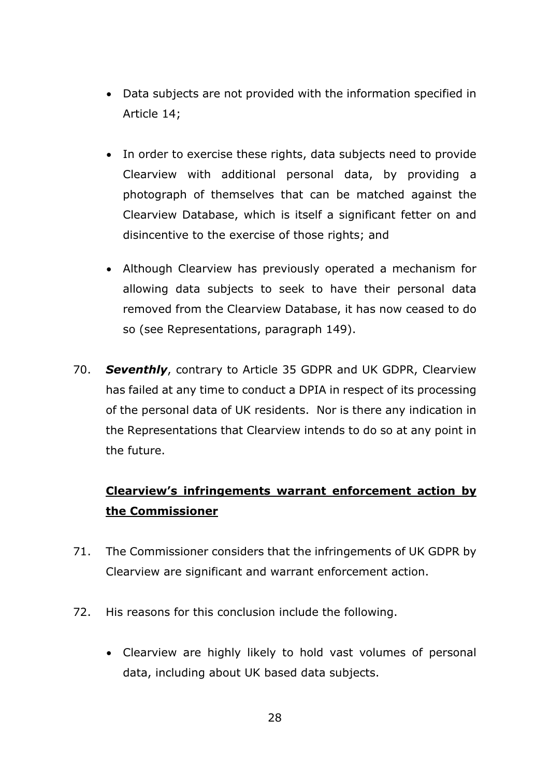- Data subjects are not provided with the information specified in Article 14;
- In order to exercise these rights, data subjects need to provide Clearview with additional personal data, by providing a photograph of themselves that can be matched against the Clearview Database, which is itself a significant fetter on and disincentive to the exercise of those rights; and
- Although Clearview has previously operated a mechanism for allowing data subjects to seek to have their personal data removed from the Clearview Database, it has now ceased to do so (see Representations, paragraph 149).
- 70. *Seventhly*, contrary to Article 35 GDPR and UK GDPR, Clearview has failed at any time to conduct a DPIA in respect of its processing of the personal data of UK residents. Nor is there any indication in the Representations that Clearview intends to do so at any point in the future.

# **Clearview's infringements warrant enforcement action by the Commissioner**

- 71. The Commissioner considers that the infringements of UK GDPR by Clearview are significant and warrant enforcement action.
- 72. His reasons for this conclusion include the following.
	- Clearview are highly likely to hold vast volumes of personal data, including about UK based data subjects.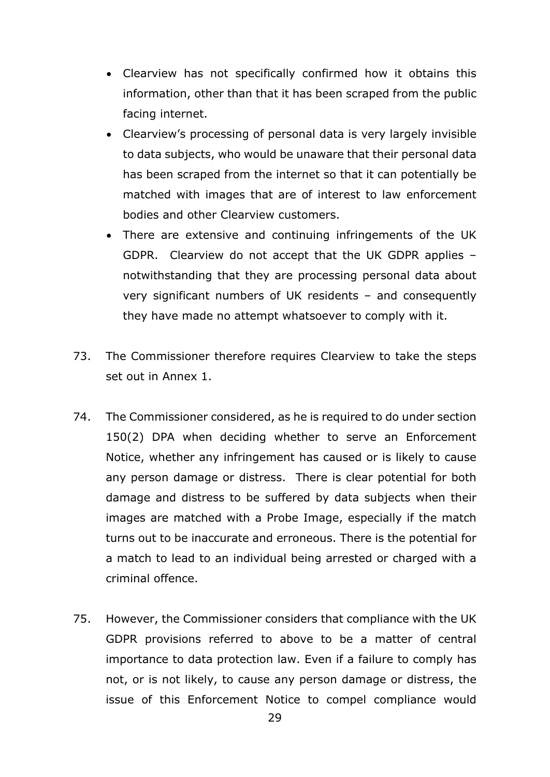- Clearview has not specifically confirmed how it obtains this information, other than that it has been scraped from the public facing internet.
- Clearview's processing of personal data is very largely invisible to data subjects, who would be unaware that their personal data has been scraped from the internet so that it can potentially be matched with images that are of interest to law enforcement bodies and other Clearview customers.
- There are extensive and continuing infringements of the UK GDPR. Clearview do not accept that the UK GDPR applies – notwithstanding that they are processing personal data about very significant numbers of UK residents – and consequently they have made no attempt whatsoever to comply with it.
- 73. The Commissioner therefore requires Clearview to take the steps set out in Annex 1.
- 74. The Commissioner considered, as he is required to do under section 150(2) DPA when deciding whether to serve an Enforcement Notice, whether any infringement has caused or is likely to cause any person damage or distress. There is clear potential for both damage and distress to be suffered by data subjects when their images are matched with a Probe Image, especially if the match turns out to be inaccurate and erroneous. There is the potential for a match to lead to an individual being arrested or charged with a criminal offence.
- 75. However, the Commissioner considers that compliance with the UK GDPR provisions referred to above to be a matter of central importance to data protection law. Even if a failure to comply has not, or is not likely, to cause any person damage or distress, the issue of this Enforcement Notice to compel compliance would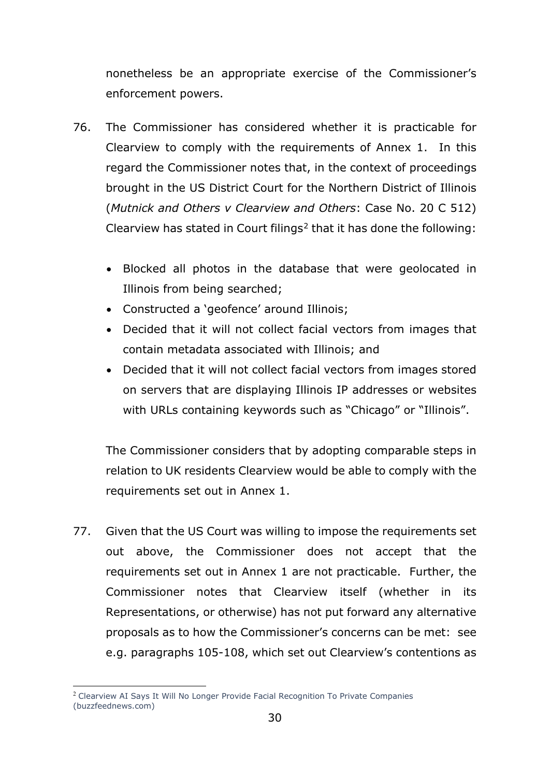nonetheless be an appropriate exercise of the Commissioner's enforcement powers.

- 76. The Commissioner has considered whether it is practicable for Clearview to comply with the requirements of Annex 1. In this regard the Commissioner notes that, in the context of proceedings brought in the US District Court for the Northern District of Illinois (*Mutnick and Others v Clearview and Others*: Case No. 20 C 512) Clearview has stated in Court filings<sup>[2](#page-29-0)</sup> that it has done the following:
	- Blocked all photos in the database that were geolocated in Illinois from being searched;
	- Constructed a 'geofence' around Illinois;
	- Decided that it will not collect facial vectors from images that contain metadata associated with Illinois; and
	- Decided that it will not collect facial vectors from images stored on servers that are displaying Illinois IP addresses or websites with URLs containing keywords such as "Chicago" or "Illinois".

The Commissioner considers that by adopting comparable steps in relation to UK residents Clearview would be able to comply with the requirements set out in Annex 1.

77. Given that the US Court was willing to impose the requirements set out above, the Commissioner does not accept that the requirements set out in Annex 1 are not practicable. Further, the Commissioner notes that Clearview itself (whether in its Representations, or otherwise) has not put forward any alternative proposals as to how the Commissioner's concerns can be met: see e.g. paragraphs 105-108, which set out Clearview's contentions as

<span id="page-29-0"></span><sup>2</sup> [Clearview AI Says It Will No Longer Provide Facial Recognition To Private Companies](https://www.buzzfeednews.com/article/ryanmac/clearview-ai-no-facial-recognition-private-companies)  [\(buzzfeednews.com\)](https://www.buzzfeednews.com/article/ryanmac/clearview-ai-no-facial-recognition-private-companies)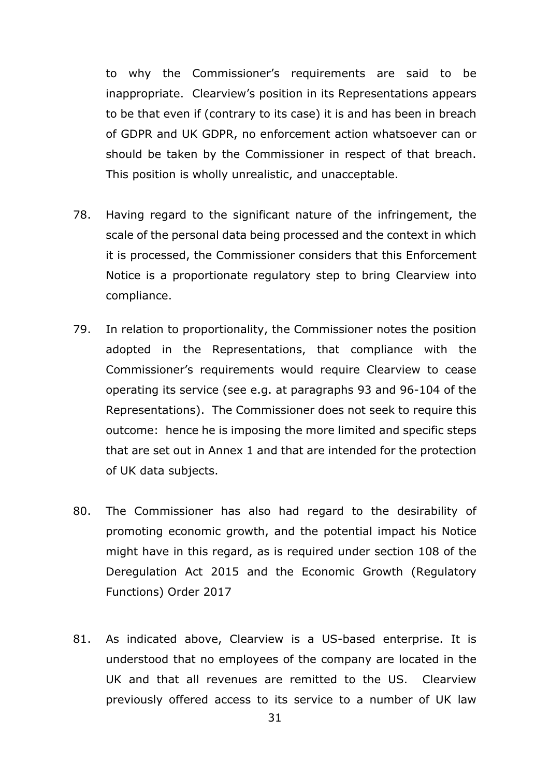to why the Commissioner's requirements are said to be inappropriate. Clearview's position in its Representations appears to be that even if (contrary to its case) it is and has been in breach of GDPR and UK GDPR, no enforcement action whatsoever can or should be taken by the Commissioner in respect of that breach. This position is wholly unrealistic, and unacceptable.

- 78. Having regard to the significant nature of the infringement, the scale of the personal data being processed and the context in which it is processed, the Commissioner considers that this Enforcement Notice is a proportionate regulatory step to bring Clearview into compliance.
- 79. In relation to proportionality, the Commissioner notes the position adopted in the Representations, that compliance with the Commissioner's requirements would require Clearview to cease operating its service (see e.g. at paragraphs 93 and 96-104 of the Representations). The Commissioner does not seek to require this outcome: hence he is imposing the more limited and specific steps that are set out in Annex 1 and that are intended for the protection of UK data subjects.
- 80. The Commissioner has also had regard to the desirability of promoting economic growth, and the potential impact his Notice might have in this regard, as is required under section 108 of the Deregulation Act 2015 and the Economic Growth (Regulatory Functions) Order 2017
- 81. As indicated above, Clearview is a US-based enterprise. It is understood that no employees of the company are located in the UK and that all revenues are remitted to the US. Clearview previously offered access to its service to a number of UK law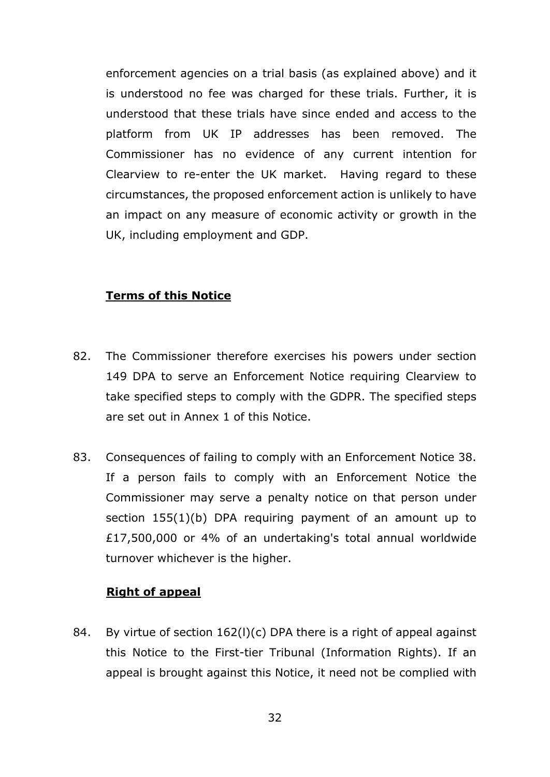enforcement agencies on a trial basis (as explained above) and it is understood no fee was charged for these trials. Further, it is understood that these trials have since ended and access to the platform from UK IP addresses has been removed. The Commissioner has no evidence of any current intention for Clearview to re-enter the UK market. Having regard to these circumstances, the proposed enforcement action is unlikely to have an impact on any measure of economic activity or growth in the UK, including employment and GDP.

#### **Terms of this Notice**

- 82. The Commissioner therefore exercises his powers under section 149 DPA to serve an Enforcement Notice requiring Clearview to take specified steps to comply with the GDPR. The specified steps are set out in Annex 1 of this Notice.
- 83. Consequences of failing to comply with an Enforcement Notice 38. If a person fails to comply with an Enforcement Notice the Commissioner may serve a penalty notice on that person under section 155(1)(b) DPA requiring payment of an amount up to £17,500,000 or 4% of an undertaking's total annual worldwide turnover whichever is the higher.

#### **Right of appeal**

84. By virtue of section 162(l)(c) DPA there is a right of appeal against this Notice to the First-tier Tribunal (Information Rights). If an appeal is brought against this Notice, it need not be complied with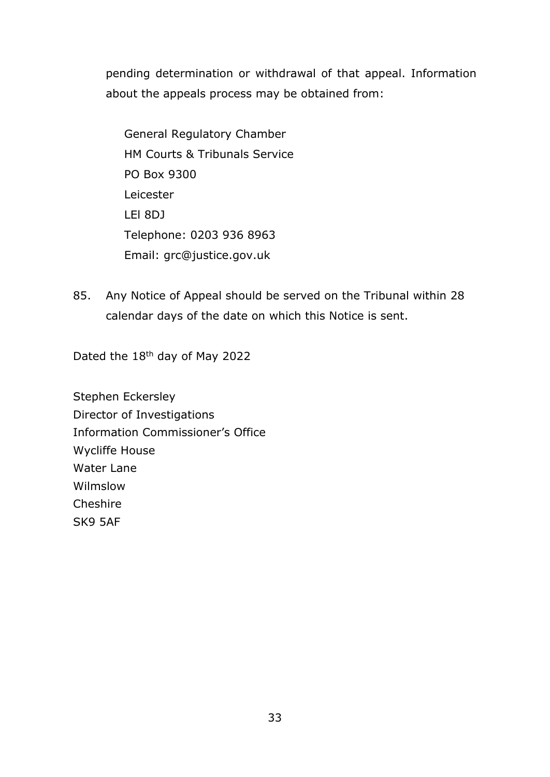pending determination or withdrawal of that appeal. Information about the appeals process may be obtained from:

General Regulatory Chamber HM Courts & Tribunals Service PO Box 9300 Leicester LEl 8DJ Telephone: 0203 936 8963 Email: [grc@justice.gov.uk](mailto:grc@justice.gov.uk)

85. Any Notice of Appeal should be served on the Tribunal within 28 calendar days of the date on which this Notice is sent.

Dated the 18<sup>th</sup> day of May 2022

Stephen Eckersley Director of Investigations Information Commissioner's Office Wycliffe House Water Lane Wilmslow **Cheshire** SK9 5AF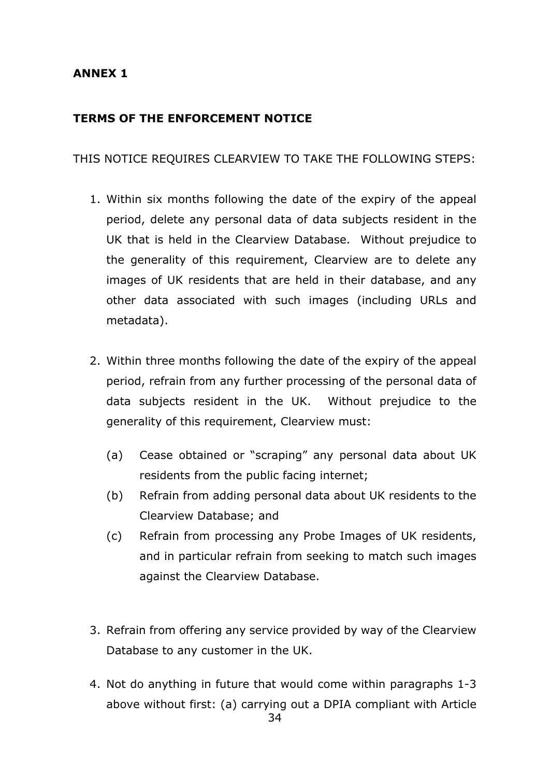### **ANNEX 1**

### **TERMS OF THE ENFORCEMENT NOTICE**

### THIS NOTICE REQUIRES CLEARVIEW TO TAKE THE FOLLOWING STEPS:

- 1. Within six months following the date of the expiry of the appeal period, delete any personal data of data subjects resident in the UK that is held in the Clearview Database. Without prejudice to the generality of this requirement, Clearview are to delete any images of UK residents that are held in their database, and any other data associated with such images (including URLs and metadata).
- 2. Within three months following the date of the expiry of the appeal period, refrain from any further processing of the personal data of data subjects resident in the UK. Without prejudice to the generality of this requirement, Clearview must:
	- (a) Cease obtained or "scraping" any personal data about UK residents from the public facing internet;
	- (b) Refrain from adding personal data about UK residents to the Clearview Database; and
	- (c) Refrain from processing any Probe Images of UK residents, and in particular refrain from seeking to match such images against the Clearview Database.
- 3. Refrain from offering any service provided by way of the Clearview Database to any customer in the UK.
- 4. Not do anything in future that would come within paragraphs 1-3 above without first: (a) carrying out a DPIA compliant with Article